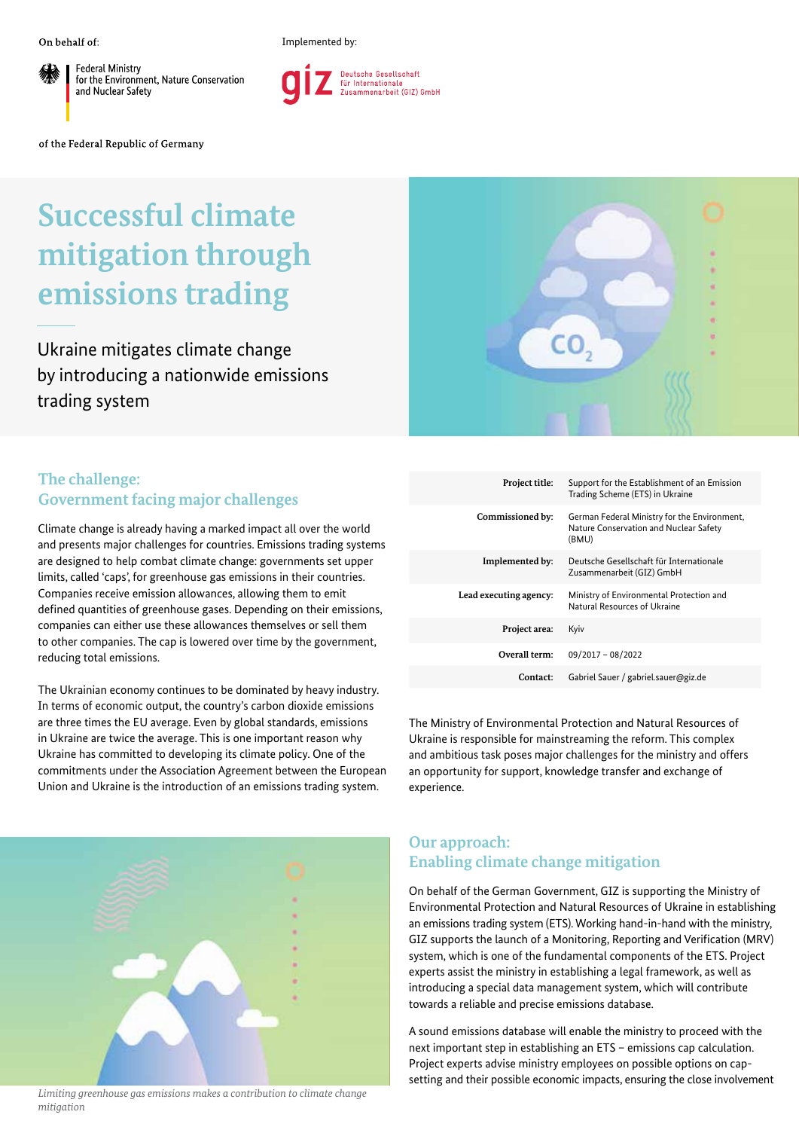**Federal Ministry** for the Environment, Nature Conservation and Nuclear Safety

Implemented by:



of the Federal Republic of Germany

## **Successful climate mitigation through emissions trading**

Ukraine mitigates climate change by introducing a nationwide emissions trading system

## **The challenge: Government facing major challenges**

Climate change is already having a marked impact all over the world and presents major challenges for countries. Emissions trading systems are designed to help combat climate change: governments set upper limits, called 'caps', for greenhouse gas emissions in their countries. Companies receive emission allowances, allowing them to emit defined quantities of greenhouse gases. Depending on their emissions, companies can either use these allowances themselves or sell them to other companies. The cap is lowered over time by the government, reducing total emissions.

The Ukrainian economy continues to be dominated by heavy industry. In terms of economic output, the country's carbon dioxide emissions are three times the EU average. Even by global standards, emissions in Ukraine are twice the average. This is one important reason why Ukraine has committed to developing its climate policy. One of the commitments under the Association Agreement between the European Union and Ukraine is the introduction of an emissions trading system.



*Limiting greenhouse gas emissions makes a contribution to climate change mitigation*



| Project title:         | Support for the Establishment of an Emission<br>Trading Scheme (ETS) in Ukraine                 |
|------------------------|-------------------------------------------------------------------------------------------------|
| Commissioned by:       | German Federal Ministry for the Environment,<br>Nature Conservation and Nuclear Safety<br>(BMU) |
| Implemented by:        | Deutsche Gesellschaft für Internationale<br>Zusammenarbeit (GIZ) GmbH                           |
| Lead executing agency: | Ministry of Environmental Protection and<br>Natural Resources of Ukraine                        |
| Project area:          | Kyiv                                                                                            |
| Overall term:          | $09/2017 - 08/2022$                                                                             |
| Contact:               | Gabriel Sauer / gabriel.sauer@giz.de                                                            |

The Ministry of Environmental Protection and Natural Resources of Ukraine is responsible for mainstreaming the reform. This complex and ambitious task poses major challenges for the ministry and offers an opportunity for support, knowledge transfer and exchange of experience.

## **Our approach: Enabling climate change mitigation**

On behalf of the German Government, GIZ is supporting the Ministry of Environmental Protection and Natural Resources of Ukraine in establishing an emissions trading system (ETS). Working hand-in-hand with the ministry, GIZ supports the launch of a Monitoring, Reporting and Verification (MRV) system, which is one of the fundamental components of the ETS. Project experts assist the ministry in establishing a legal framework, as well as introducing a special data management system, which will contribute towards a reliable and precise emissions database.

A sound emissions database will enable the ministry to proceed with the next important step in establishing an ETS – emissions cap calculation. Project experts advise ministry employees on possible options on capsetting and their possible economic impacts, ensuring the close involvement